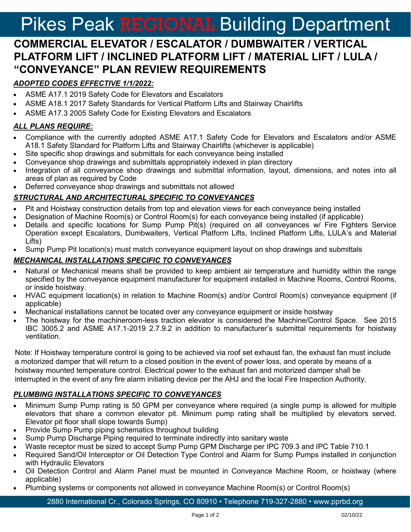# Pikes Peak REGIONAL Building Department

# **COMMERCIAL ELEVATOR / ESCALATOR / DUMBWAITER / VERTICAL PLATFORM LIFT / INCLINED PLATFORM LIFT / MATERIAL LIFT / LULA / "CONVEYANCE" PLAN REVIEW REQUIREMENTS**

# *ADOPTED CODES EFFECTIVE 1/1/2022:*

- ASME A17.1 2019 Safety Code for Elevators and Escalators
- ASME A18.1 2017 Safety Standards for Vertical Platform Lifts and Stairway Chairlifts
- ASME A17.3 2005 Safety Code for Existing Elevators and Escalators

#### *ALL PLANS REQUIRE:*

- Compliance with the currently adopted ASME A17.1 Safety Code for Elevators and Escalators and/or ASME A18.1 Safety Standard for Platform Lifts and Stairway Chairlifts (whichever is applicable)
- Site specific shop drawings and submittals for each conveyance being installed
- Conveyance shop drawings and submittals appropriately indexed in plan directory
- Integration of all conveyance shop drawings and submittal information, layout, dimensions, and notes into all areas of plan as required by Code
- Deferred conveyance shop drawings and submittals not allowed

#### *STRUCTURAL AND ARCHITECTURAL SPECIFIC TO CONVEYANCES*

- Pit and Hoistway construction details from top and elevation views for each conveyance being installed
- Designation of Machine Room(s) or Control Room(s) for each conveyance being installed (if applicable)
- Details and specific locations for Sump Pump Pit(s) (required on all conveyances w/ Fire Fighters Service Operation except Escalators, Dumbwaiters, Vertical Platform Lifts, Inclined Platform Lifts, LULA's and Material Lifts)
- Sump Pump Pit location(s) must match conveyance equipment layout on shop drawings and submittals

#### *MECHANICAL INSTALLATIONS SPECIFIC TO CONVEYANCES*

- Natural or Mechanical means shall be provided to keep ambient air temperature and humidity within the range specified by the conveyance equipment manufacturer for equipment installed in Machine Rooms, Control Rooms, or inside hoistway.
- HVAC equipment location(s) in relation to Machine Room(s) and/or Control Room(s) conveyance equipment (if applicable)
- Mechanical installations cannot be located over any conveyance equipment or inside hoistway
- The hoistway for the machineroom-less traction elevator is considered the Machine/Control Space. See 2015 IBC 3005.2 and ASME A17.1-2019 2.7.9.2 in addition to manufacturer's submittal requirements for hoistway ventilation.

Note: If Hoistway temperature control is going to be achieved via roof set exhaust fan, the exhaust fan must include a motorized damper that will return to a closed position in the event of power loss, and operate by means of a hoistway mounted temperature control. Electrical power to the exhaust fan and motorized damper shall be interrupted in the event of any fire alarm initiating device per the AHJ and the local Fire Inspection Authority.

#### *PLUMBING INSTALLATIONS SPECIFIC TO CONVEYANCES*

- Minimum Sump Pump rating is 50 GPM per conveyance where required (a single pump is allowed for multiple elevators that share a common elevator pit. Minimum pump rating shall be multiplied by elevators served. Elevator pit floor shall slope towards Sump)
- Provide Sump Pump piping schematics throughout building
- Sump Pump Discharge Piping required to terminate indirectly into sanitary waste
- Waste receptor must be sized to accept Sump Pump GPM Discharge per IPC 709.3 and IPC Table 710.1
- Required Sand/Oil Interceptor or Oil Detection Type Control and Alarm for Sump Pumps installed in conjunction with Hydraulic Elevators
- Oil Detection Control and Alarm Panel must be mounted in Conveyance Machine Room, or hoistway (where applicable)
- Plumbing systems or components not allowed in conveyance Machine Room(s) or Control Room(s)